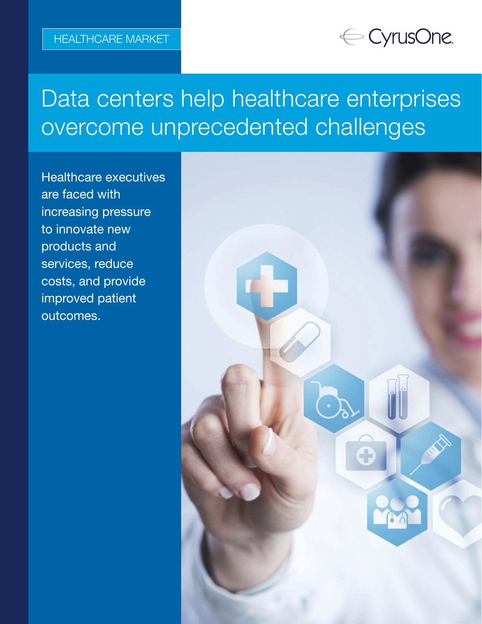## ← CyrusOne.

# Data centers help healthcare enterprises overcome unprecedented challenges

Healthcare executives are faced with increasing pressure to innovate new products and services, reduce costs, and provide improved patient outcomes.

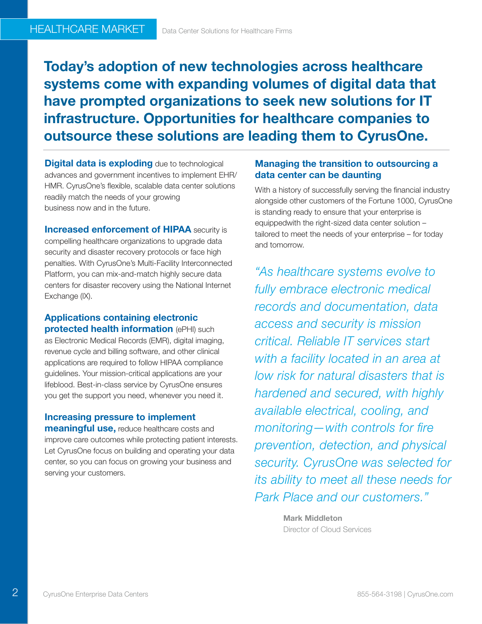Today's adoption of new technologies across healthcare systems come with expanding volumes of digital data that have prompted organizations to seek new solutions for IT infrastructure. Opportunities for healthcare companies to outsource these solutions are leading them to CyrusOne.

**Digital data is exploding** due to technological advances and government incentives to implement EHR/ HMR. CyrusOne's flexible, scalable data center solutions readily match the needs of your growing business now and in the future.

**Increased enforcement of HIPAA security is** compelling healthcare organizations to upgrade data security and disaster recovery protocols or face high penalties. With CyrusOne's Multi-Facility Interconnected Platform, you can mix-and-match highly secure data centers for disaster recovery using the National Internet Exchange (IX).

Applications containing electronic protected health information (ePHI) such as Electronic Medical Records (EMR), digital imaging, revenue cycle and billing software, and other clinical applications are required to follow HIPAA compliance guidelines. Your mission-critical applications are your lifeblood. Best-in-class service by CyrusOne ensures you get the support you need, whenever you need it.

Increasing pressure to implement **meaningful use, reduce healthcare costs and** improve care outcomes while protecting patient interests. Let CyrusOne focus on building and operating your data center, so you can focus on growing your business and

#### Managing the transition to outsourcing a data center can be daunting

With a history of successfully serving the financial industry alongside other customers of the Fortune 1000, CyrusOne is standing ready to ensure that your enterprise is equippedwith the right-sized data center solution – tailored to meet the needs of your enterprise – for today and tomorrow.

"As healthcare systems evolve to fully embrace electronic medical records and documentation, data access and security is mission critical. Reliable IT services start with a facility located in an area at low risk for natural disasters that is hardened and secured, with highly available electrical, cooling, and monitoring—with controls for fire prevention, detection, and physical security. CyrusOne was selected for its ability to meet all these needs for Park Place and our customers."

> Mark Middleton Director of Cloud Services

 $\overline{2}$ 

serving your customers.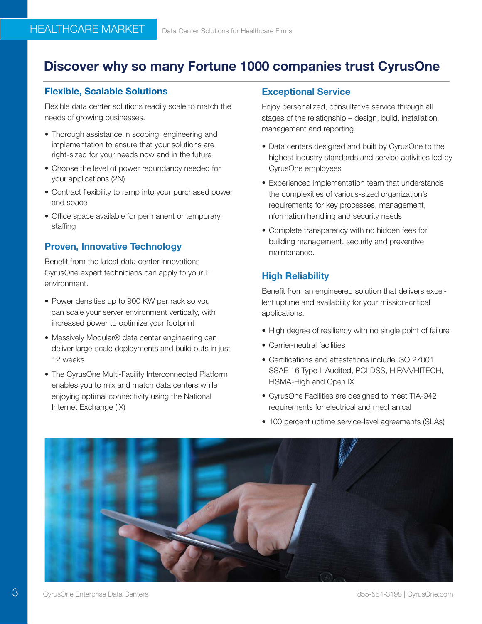## Discover why so many Fortune 1000 companies trust CyrusOne

#### Flexible, Scalable Solutions

Flexible data center solutions readily scale to match the needs of growing businesses.

- Thorough assistance in scoping, engineering and implementation to ensure that your solutions are right-sized for your needs now and in the future
- Choose the level of power redundancy needed for your applications (2N)
- Contract flexibility to ramp into your purchased power and space
- Office space available for permanent or temporary staffing

#### Proven, Innovative Technology

Benefit from the latest data center innovations CyrusOne expert technicians can apply to your IT environment.

- Power densities up to 900 KW per rack so you can scale your server environment vertically, with increased power to optimize your footprint
- Massively Modular® data center engineering can deliver large-scale deployments and build outs in just 12 weeks
- The CyrusOne Multi-Facility Interconnected Platform enables you to mix and match data centers while enjoying optimal connectivity using the National Internet Exchange (IX)

#### Exceptional Service

Enjoy personalized, consultative service through all stages of the relationship – design, build, installation, management and reporting

- Data centers designed and built by CyrusOne to the highest industry standards and service activities led by CyrusOne employees
- Experienced implementation team that understands the complexities of various-sized organization's requirements for key processes, management, nformation handling and security needs
- Complete transparency with no hidden fees for building management, security and preventive maintenance.

#### High Reliability

Benefit from an engineered solution that delivers excellent uptime and availability for your mission-critical applications.

- High degree of resiliency with no single point of failure
- Carrier-neutral facilities
- Certifications and attestations include ISO 27001, SSAE 16 Type II Audited, PCI DSS, HIPAA/HITECH, FISMA-High and Open IX
- CyrusOne Facilities are designed to meet TIA-942 requirements for electrical and mechanical
- 100 percent uptime service-level agreements (SLAs)